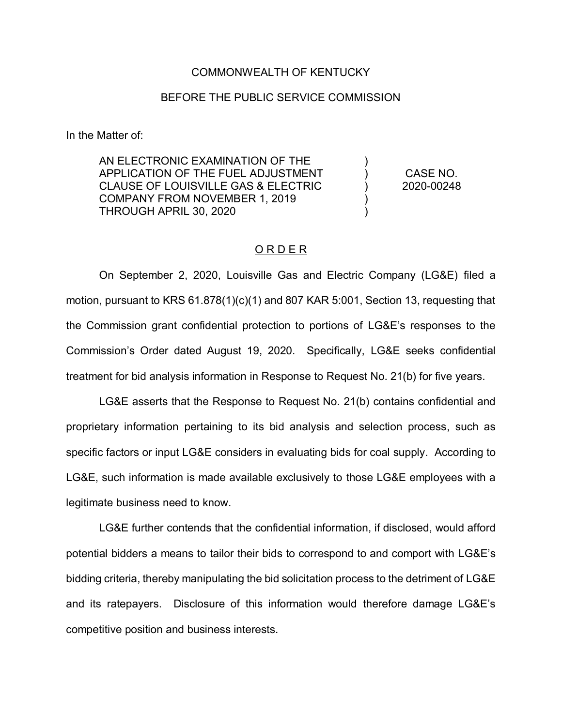### COMMONWEALTH OF KENTUCKY

## BEFORE THE PUBLIC SERVICE COMMISSION

In the Matter of:

AN ELECTRONIC EXAMINATION OF THE APPLICATION OF THE FUEL ADJUSTMENT CLAUSE OF LOUISVILLE GAS & ELECTRIC COMPANY FROM NOVEMBER 1, 2019 THROUGH APRIL 30, 2020 ) ) ) ) ) CASE NO. 2020-00248

# O R D E R

On September 2, 2020, Louisville Gas and Electric Company (LG&E) filed a motion, pursuant to KRS 61.878(1)(c)(1) and 807 KAR 5:001, Section 13, requesting that the Commission grant confidential protection to portions of LG&E's responses to the Commission's Order dated August 19, 2020. Specifically, LG&E seeks confidential treatment for bid analysis information in Response to Request No. 21(b) for five years.

LG&E asserts that the Response to Request No. 21(b) contains confidential and proprietary information pertaining to its bid analysis and selection process, such as specific factors or input LG&E considers in evaluating bids for coal supply. According to LG&E, such information is made available exclusively to those LG&E employees with a legitimate business need to know.

LG&E further contends that the confidential information, if disclosed, would afford potential bidders a means to tailor their bids to correspond to and comport with LG&E's bidding criteria, thereby manipulating the bid solicitation process to the detriment of LG&E and its ratepayers. Disclosure of this information would therefore damage LG&E's competitive position and business interests.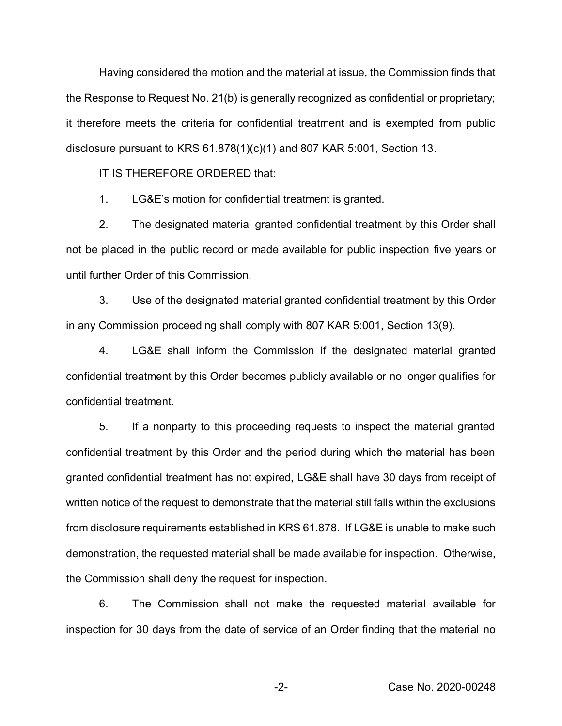Having considered the motion and the material at issue, the Commission finds that the Response to Request No. 21(b) is generally recognized as confidential or proprietary; it therefore meets the criteria for confidential treatment and is exempted from public disclosure pursuant to KRS 61.878(1)(c)(1) and 807 KAR 5:001, Section 13.

IT IS THEREFORE ORDERED that:

1. LG&E's motion for confidential treatment is granted.

2. The designated material granted confidential treatment by this Order shall not be placed in the public record or made available for public inspection five years or until further Order of this Commission.

3. Use of the designated material granted confidential treatment by this Order in any Commission proceeding shall comply with 807 KAR 5:001, Section 13(9).

4. LG&E shall inform the Commission if the designated material granted confidential treatment by this Order becomes publicly available or no longer qualifies for confidential treatment.

5. If a nonparty to this proceeding requests to inspect the material granted confidential treatment by this Order and the period during which the material has been granted confidential treatment has not expired, LG&E shall have 30 days from receipt of written notice of the request to demonstrate that the material still falls within the exclusions from disclosure requirements established in KRS 61.878. If LG&E is unable to make such demonstration, the requested material shall be made available for inspection. Otherwise, the Commission shall deny the request for inspection.

6. The Commission shall not make the requested material available for inspection for 30 days from the date of service of an Order finding that the material no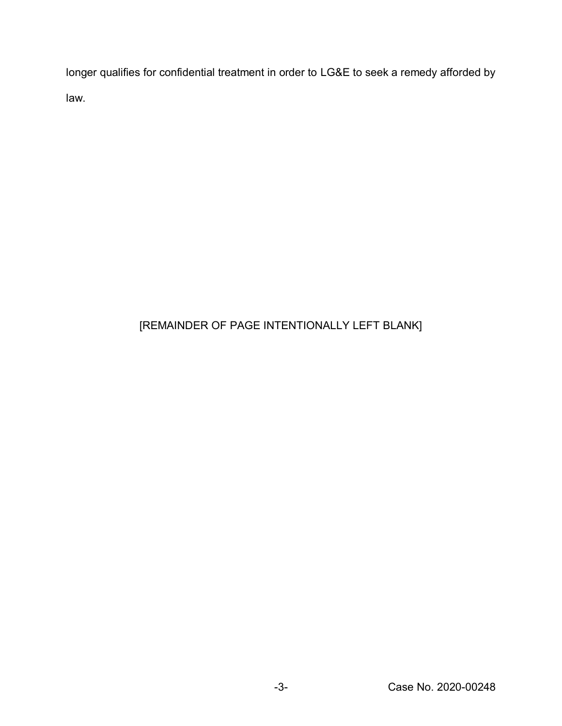longer qualifies for confidential treatment in order to LG&E to seek a remedy afforded by law.

# [REMAINDER OF PAGE INTENTIONALLY LEFT BLANK]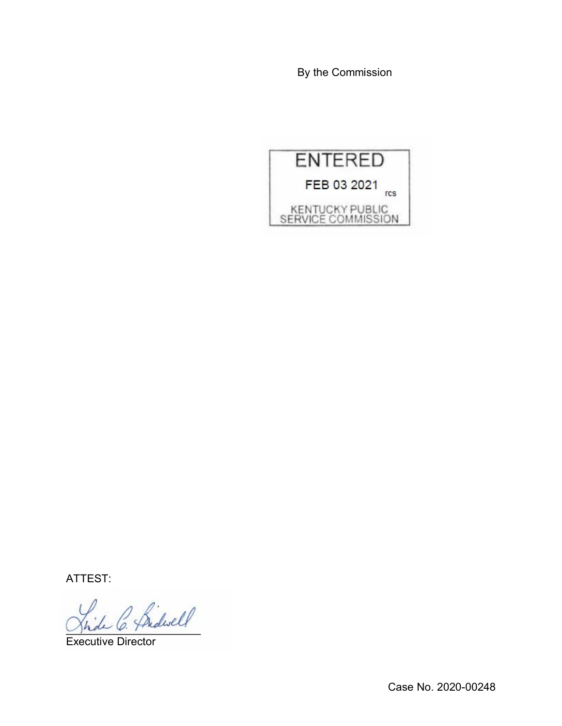By the Commission



ATTEST:

2 Bidwell

Executive Director

Case No. 2020-00248